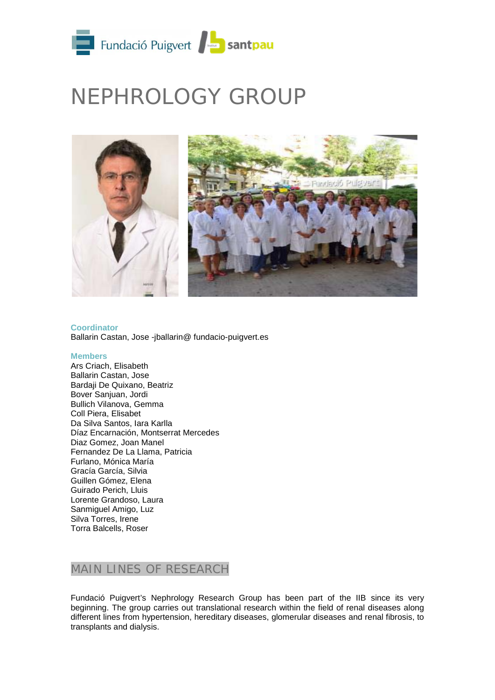

# NEPHROLOGY GROUP



**Coordinator** Ballarin Castan, Jose -jballarin@ fundacio-puigvert.es

#### **Members**

Ars Criach, Elisabeth Ballarin Castan, Jose Bardaji De Quixano, Beatriz Bover Sanjuan, Jordi Bullich Vilanova, Gemma Coll Piera, Elisabet Da Silva Santos, Iara Karlla Díaz Encarnación, Montserrat Mercedes Diaz Gomez, Joan Manel Fernandez De La Llama, Patricia Furlano, Mónica María Gracía García, Silvia Guillen Gómez, Elena Guirado Perich, Lluis Lorente Grandoso, Laura Sanmiguel Amigo, Luz Silva Torres, Irene Torra Balcells, Roser

## MAIN LINES OF RESEARCH

Fundació Puigvert's Nephrology Research Group has been part of the IIB since its very beginning. The group carries out translational research within the field of renal diseases along different lines from hypertension, hereditary diseases, glomerular diseases and renal fibrosis, to transplants and dialysis.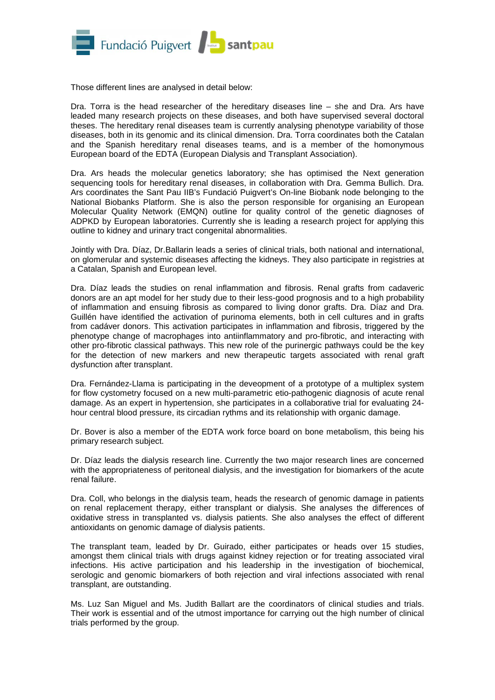

Those different lines are analysed in detail below:

Dra. Torra is the head researcher of the hereditary diseases line – she and Dra. Ars have leaded many research projects on these diseases, and both have supervised several doctoral theses. The hereditary renal diseases team is currently analysing phenotype variability of those diseases, both in its genomic and its clinical dimension. Dra. Torra coordinates both the Catalan and the Spanish hereditary renal diseases teams, and is a member of the homonymous European board of the EDTA (European Dialysis and Transplant Association).

Dra. Ars heads the molecular genetics laboratory; she has optimised the Next generation sequencing tools for hereditary renal diseases, in collaboration with Dra. Gemma Bullich. Dra. Ars coordinates the Sant Pau IIB's Fundació Puigvert's On-line Biobank node belonging to the National Biobanks Platform. She is also the person responsible for organising an European Molecular Quality Network (EMQN) outline for quality control of the genetic diagnoses of ADPKD by European laboratories. Currently she is leading a research project for applying this outline to kidney and urinary tract congenital abnormalities.

Jointly with Dra. Díaz, Dr.Ballarin leads a series of clinical trials, both national and international, on glomerular and systemic diseases affecting the kidneys. They also participate in registries at a Catalan, Spanish and European level.

Dra. Díaz leads the studies on renal inflammation and fibrosis. Renal grafts from cadaveric donors are an apt model for her study due to their less-good prognosis and to a high probability of inflammation and ensuing fibrosis as compared to living donor grafts. Dra. Díaz and Dra. Guillén have identified the activation of purinoma elements, both in cell cultures and in grafts from cadáver donors. This activation participates in inflammation and fibrosis, triggered by the phenotype change of macrophages into antiinflammatory and pro-fibrotic, and interacting with other pro-fibrotic classical pathways. This new role of the purinergic pathways could be the key for the detection of new markers and new therapeutic targets associated with renal graft dysfunction after transplant.

Dra. Fernández-Llama is participating in the deveopment of a prototype of a multiplex system for flow cystometry focused on a new multi-parametric etio-pathogenic diagnosis of acute renal damage. As an expert in hypertension, she participates in a collaborative trial for evaluating 24 hour central blood pressure, its circadian rythms and its relationship with organic damage.

Dr. Bover is also a member of the EDTA work force board on bone metabolism, this being his primary research subject.

Dr. Díaz leads the dialysis research line. Currently the two major research lines are concerned with the appropriateness of peritoneal dialysis, and the investigation for biomarkers of the acute renal failure.

Dra. Coll, who belongs in the dialysis team, heads the research of genomic damage in patients on renal replacement therapy, either transplant or dialysis. She analyses the differences of oxidative stress in transplanted vs. dialysis patients. She also analyses the effect of different antioxidants on genomic damage of dialysis patients.

The transplant team, leaded by Dr. Guirado, either participates or heads over 15 studies, amongst them clinical trials with drugs against kidney rejection or for treating associated viral infections. His active participation and his leadership in the investigation of biochemical, serologic and genomic biomarkers of both rejection and viral infections associated with renal transplant, are outstanding.

Ms. Luz San Miguel and Ms. Judith Ballart are the coordinators of clinical studies and trials. Their work is essential and of the utmost importance for carrying out the high number of clinical trials performed by the group.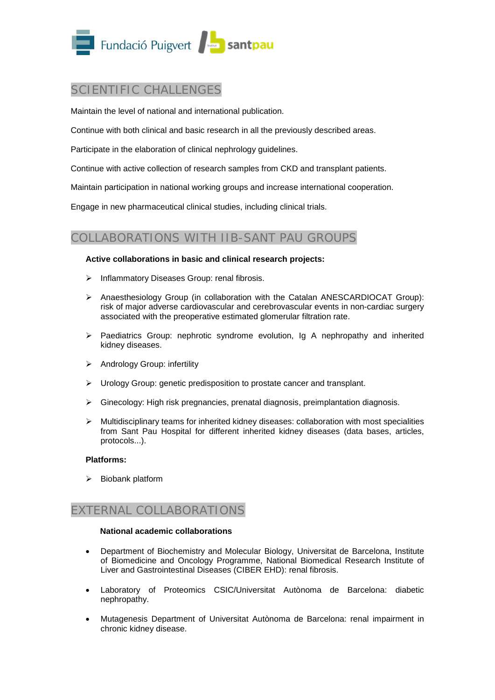

## SCIENTIFIC CHALLENGES

Maintain the level of national and international publication.

Continue with both clinical and basic research in all the previously described areas.

Participate in the elaboration of clinical nephrology guidelines.

Continue with active collection of research samples from CKD and transplant patients.

Maintain participation in national working groups and increase international cooperation.

Engage in new pharmaceutical clinical studies, including clinical trials.

## COLLABORATIONS WITH IIB-SANT PAU GROUPS

#### **Active collaborations in basic and clinical research projects:**

- $\triangleright$  Inflammatory Diseases Group: renal fibrosis.
- $\triangleright$  Anaesthesiology Group (in collaboration with the Catalan ANESCARDIOCAT Group): risk of major adverse cardiovascular and cerebrovascular events in non-cardiac surgery associated with the preoperative estimated glomerular filtration rate.
- $\triangleright$  Paediatrics Group: nephrotic syndrome evolution, Iq A nephropathy and inherited kidney diseases.
- Andrology Group: infertility
- Urology Group: genetic predisposition to prostate cancer and transplant.
- $\triangleright$  Ginecology: High risk pregnancies, prenatal diagnosis, preimplantation diagnosis.
- $\triangleright$  Multidisciplinary teams for inherited kidney diseases: collaboration with most specialities from Sant Pau Hospital for different inherited kidney diseases (data bases, articles, protocols...).

#### **Platforms:**

 $\triangleright$  Biobank platform

## EXTERNAL COLLABORATIONS

#### **National academic collaborations**

- Department of Biochemistry and Molecular Biology, Universitat de Barcelona, Institute of Biomedicine and Oncology Programme, National Biomedical Research Institute of Liver and Gastrointestinal Diseases (CIBER EHD): renal fibrosis.
- Laboratory of Proteomics CSIC/Universitat Autònoma de Barcelona: diabetic nephropathy.
- Mutagenesis Department of Universitat Autònoma de Barcelona: renal impairment in chronic kidney disease.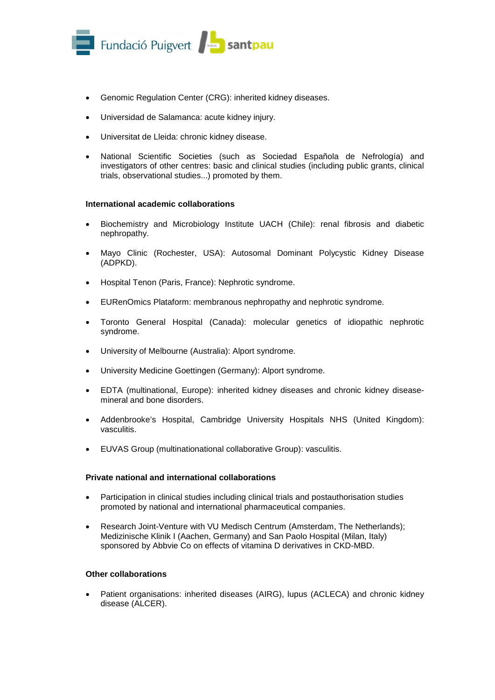

- Genomic Regulation Center (CRG): inherited kidney diseases.
- Universidad de Salamanca: acute kidney injury.
- Universitat de Lleida: chronic kidney disease.
- National Scientific Societies (such as Sociedad Española de Nefrología) and investigators of other centres: basic and clinical studies (including public grants, clinical trials, observational studies...) promoted by them.

#### **International academic collaborations**

- Biochemistry and Microbiology Institute UACH (Chile): renal fibrosis and diabetic nephropathy.
- Mayo Clinic (Rochester, USA): Autosomal Dominant Polycystic Kidney Disease (ADPKD).
- Hospital Tenon (Paris, France): Nephrotic syndrome.
- EURenOmics Plataform: membranous nephropathy and nephrotic syndrome.
- Toronto General Hospital (Canada): molecular genetics of idiopathic nephrotic syndrome.
- University of Melbourne (Australia): Alport syndrome.
- University Medicine Goettingen (Germany): Alport syndrome.
- EDTA (multinational, Europe): inherited kidney diseases and chronic kidney diseasemineral and bone disorders.
- Addenbrooke's Hospital, Cambridge University Hospitals NHS (United Kingdom): vasculitis.
- EUVAS Group (multinationational collaborative Group): vasculitis.

#### **Private national and international collaborations**

- Participation in clinical studies including clinical trials and postauthorisation studies promoted by national and international pharmaceutical companies.
- Research Joint-Venture with VU Medisch Centrum (Amsterdam, The Netherlands); Medizinische Klinik I (Aachen, Germany) and San Paolo Hospital (Milan, Italy) sponsored by Abbvie Co on effects of vitamina D derivatives in CKD-MBD.

#### **Other collaborations**

• Patient organisations: inherited diseases (AIRG), lupus (ACLECA) and chronic kidney disease (ALCER).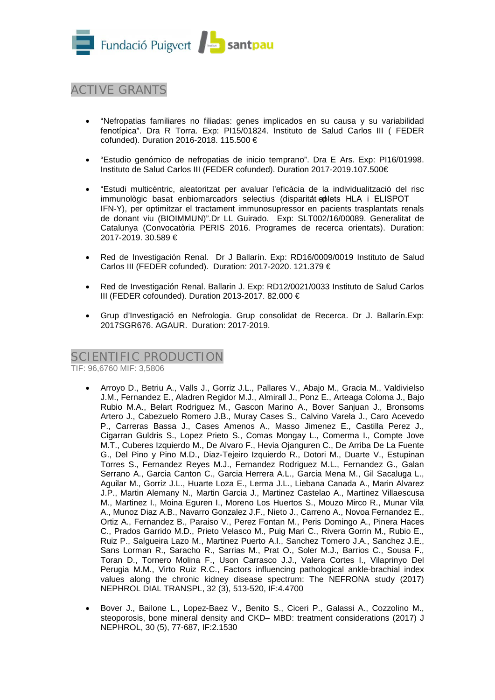

# ACTIVE GRANTS

- "Nefropatias familiares no filiadas: genes implicados en su causa y su variabilidad fenotípica". Dra R Torra. Exp: PI15/01824. Instituto de Salud Carlos III ( FEDER cofunded). Duration 2016-2018. 115.500 €
- "Estudio genómico de nefropatias de inicio temprano". Dra E Ars. Exp: PI16/01998. Instituto de Salud Carlos III (FEDER cofunded). Duration 2017-2019.107.500€
- "Estudi multicèntric, aleatoritzat per avaluar l'eficàcia de la individualització del risc immunològic basat enbiomarcadors selectius (disparitat explets HLA i ELISPOT IFN‐Y), per optimitzar el tractament immunosupressor en pacients trasplantats renals de donant viu (BIOIMMUN)".Dr LL Guirado. Exp: SLT002/16/00089. Generalitat de Catalunya (Convocatòria PERIS 2016. Programes de recerca orientats). Duration: 2017-2019. 30.589 €
- Red de Investigación Renal. Dr J Ballarín. Exp: RD16/0009/0019 Instituto de Salud Carlos III (FEDER cofunded). Duration: 2017-2020. 121.379 €
- Red de Investigación Renal. Ballarin J. Exp: RD12/0021/0033 Instituto de Salud Carlos III (FEDER cofounded). Duration 2013-2017. 82.000 €
- Grup d'Investigació en Nefrologia. Grup consolidat de Recerca. Dr J. Ballarín.Exp: 2017SGR676. AGAUR. Duration: 2017-2019.

## SCIENTIFIC PRODUCTION

TIF: 96,6760 MIF: 3,5806

- Arroyo D., Betriu A., Valls J., Gorriz J.L., Pallares V., Abajo M., Gracia M., Valdivielso J.M., Fernandez E., Aladren Regidor M.J., Almirall J., Ponz E., Arteaga Coloma J., Bajo Rubio M.A., Belart Rodriguez M., Gascon Marino A., Bover Sanjuan J., Bronsoms Artero J., Cabezuelo Romero J.B., Muray Cases S., Calvino Varela J., Caro Acevedo P., Carreras Bassa J., Cases Amenos A., Masso Jimenez E., Castilla Perez J., Cigarran Guldris S., Lopez Prieto S., Comas Mongay L., Comerma I., Compte Jove M.T., Cuberes Izquierdo M., De Alvaro F., Hevia Ojanguren C., De Arriba De La Fuente G., Del Pino y Pino M.D., Diaz-Tejeiro Izquierdo R., Dotori M., Duarte V., Estupinan Torres S., Fernandez Reyes M.J., Fernandez Rodriguez M.L., Fernandez G., Galan Serrano A., Garcia Canton C., Garcia Herrera A.L., Garcia Mena M., Gil Sacaluga L., Aguilar M., Gorriz J.L., Huarte Loza E., Lerma J.L., Liebana Canada A., Marin Alvarez J.P., Martin Alemany N., Martin Garcia J., Martinez Castelao A., Martinez Villaescusa M., Martinez I., Moina Eguren I., Moreno Los Huertos S., Mouzo Mirco R., Munar Vila A., Munoz Diaz A.B., Navarro Gonzalez J.F., Nieto J., Carreno A., Novoa Fernandez E., Ortiz A., Fernandez B., Paraiso V., Perez Fontan M., Peris Domingo A., Pinera Haces C., Prados Garrido M.D., Prieto Velasco M., Puig Mari C., Rivera Gorrin M., Rubio E., Ruiz P., Salgueira Lazo M., Martinez Puerto A.I., Sanchez Tomero J.A., Sanchez J.E., Sans Lorman R., Saracho R., Sarrias M., Prat O., Soler M.J., Barrios C., Sousa F., Toran D., Tornero Molina F., Uson Carrasco J.J., Valera Cortes I., Vilaprinyo Del Perugia M.M., Virto Ruiz R.C., Factors influencing pathological ankle-brachial index values along the chronic kidney disease spectrum: The NEFRONA study (2017) NEPHROL DIAL TRANSPL, 32 (3), 513-520, IF:4.4700
- Bover J., Bailone L., Lopez-Baez V., Benito S., Ciceri P., Galassi A., Cozzolino M., steoporosis, bone mineral density and CKD– MBD: treatment considerations (2017) J NEPHROL, 30 (5), 77-687, IF:2.1530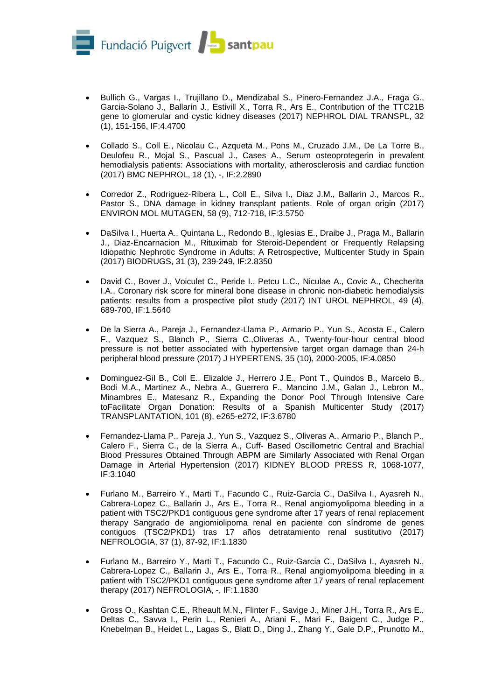

- Bullich G., Vargas I., Trujillano D., Mendizabal S., Pinero-Fernandez J.A., Fraga G., Garcia-Solano J., Ballarin J., Estivill X., Torra R., Ars E., Contribution of the TTC21B gene to glomerular and cystic kidney diseases (2017) NEPHROL DIAL TRANSPL, 32 (1), 151-156, IF:4.4700
- Collado S., Coll E., Nicolau C., Azqueta M., Pons M., Cruzado J.M., De La Torre B., Deulofeu R., Mojal S., Pascual J., Cases A., Serum osteoprotegerin in prevalent hemodialysis patients: Associations with mortality, atherosclerosis and cardiac function (2017) BMC NEPHROL, 18 (1), -, IF:2.2890
- Corredor Z., Rodriguez-Ribera L., Coll E., Silva I., Diaz J.M., Ballarin J., Marcos R., Pastor S., DNA damage in kidney transplant patients. Role of organ origin (2017) ENVIRON MOL MUTAGEN, 58 (9), 712-718, IF:3.5750
- DaSilva I., Huerta A., Quintana L., Redondo B., Iglesias E., Draibe J., Praga M., Ballarin J., Diaz-Encarnacion M., Rituximab for Steroid-Dependent or Frequently Relapsing Idiopathic Nephrotic Syndrome in Adults: A Retrospective, Multicenter Study in Spain (2017) BIODRUGS, 31 (3), 239-249, IF:2.8350
- David C., Bover J., Voiculet C., Peride I., Petcu L.C., Niculae A., Covic A., Checherita I.A., Coronary risk score for mineral bone disease in chronic non-diabetic hemodialysis patients: results from a prospective pilot study (2017) INT UROL NEPHROL, 49 (4), 689-700, IF:1.5640
- De la Sierra A., Pareja J., Fernandez-Llama P., Armario P., Yun S., Acosta E., Calero F., Vazquez S., Blanch P., Sierra C.,Oliveras A., Twenty-four-hour central blood pressure is not better associated with hypertensive target organ damage than 24-h peripheral blood pressure (2017) J HYPERTENS, 35 (10), 2000-2005, IF:4.0850
- Dominguez-Gil B., Coll E., Elizalde J., Herrero J.E., Pont T., Quindos B., Marcelo B., Bodi M.A., Martinez A., Nebra A., Guerrero F., Mancino J.M., Galan J., Lebron M., Minambres E., Matesanz R., Expanding the Donor Pool Through Intensive Care toFacilitate Organ Donation: Results of a Spanish Multicenter Study (2017) TRANSPLANTATION, 101 (8), e265-e272, IF:3.6780
- Fernandez-Llama P., Pareja J., Yun S., Vazquez S., Oliveras A., Armario P., Blanch P., Calero F., Sierra C., de la Sierra A., Cuff- Based Oscillometric Central and Brachial Blood Pressures Obtained Through ABPM are Similarly Associated with Renal Organ Damage in Arterial Hypertension (2017) KIDNEY BLOOD PRESS R, 1068-1077, IF:3.1040
- Furlano M., Barreiro Y., Marti T., Facundo C., Ruiz-Garcia C., DaSilva I., Ayasreh N., Cabrera-Lopez C., Ballarin J., Ars E., Torra R., Renal angiomyolipoma bleeding in a patient with TSC2/PKD1 contiguous gene syndrome after 17 years of renal replacement therapy Sangrado de angiomiolipoma renal en paciente con síndrome de genes contiguos (TSC2/PKD1) tras 17 años detratamiento renal sustitutivo (2017) NEFROLOGIA, 37 (1), 87-92, IF:1.1830
- Furlano M., Barreiro Y., Marti T., Facundo C., Ruiz-Garcia C., DaSilva I., Ayasreh N., Cabrera-Lopez C., Ballarin J., Ars E., Torra R., Renal angiomyolipoma bleeding in a patient with TSC2/PKD1 contiguous gene syndrome after 17 years of renal replacement therapy (2017) NEFROLOGIA, -, IF:1.1830
- Gross O., Kashtan C.E., Rheault M.N., Flinter F., Savige J., Miner J.H., Torra R., Ars E., Deltas C., Savva I., Perin L., Renieri A., Ariani F., Mari F., Baigent C., Judge P., Knebelman B., Heidet L., Lagas S., Blatt D., Ding J., Zhang Y., Gale D.P., Prunotto M.,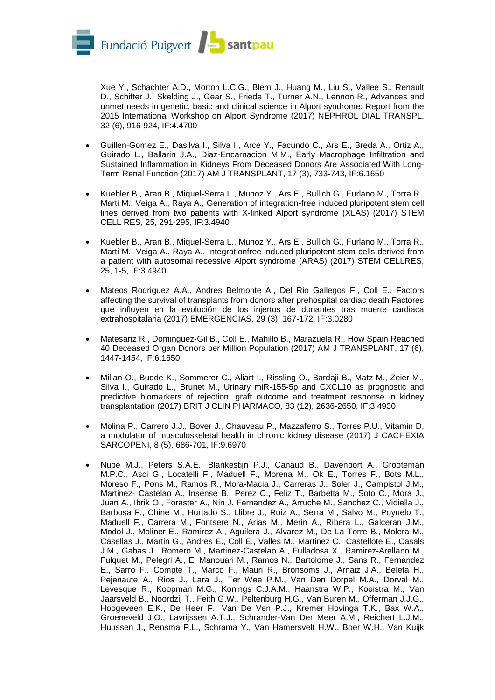

Xue Y., Schachter A.D., Morton L.C.G., Blem J., Huang M., Liu S., Vallee S., Renault D., Schifter J., Skelding J., Gear S., Friede T., Turner A.N., Lennon R., Advances and unmet needs in genetic, basic and clinical science in Alport syndrome: Report from the 2015 International Workshop on Alport Syndrome (2017) NEPHROL DIAL TRANSPL, 32 (6), 916-924, IF:4.4700

- Guillen-Gomez E., Dasilva I., Silva I., Arce Y., Facundo C., Ars E., Breda A., Ortiz A., Guirado L., Ballarin J.A., Diaz-Encarnacion M.M., Early Macrophage Infiltration and Sustained Inflammation in Kidneys From Deceased Donors Are Associated With Long-Term Renal Function (2017) AM J TRANSPLANT, 17 (3), 733-743, IF:6.1650
- Kuebler B., Aran B., Miquel-Serra L., Munoz Y., Ars E., Bullich G., Furlano M., Torra R., Marti M., Veiga A., Raya A., Generation of integration-free induced pluripotent stem cell lines derived from two patients with X-linked Alport syndrome (XLAS) (2017) STEM CELL RES, 25, 291-295, IF:3.4940
- Kuebler B., Aran B., Miquel-Serra L., Munoz Y., Ars E., Bullich G., Furlano M., Torra R., Marti M., Veiga A., Raya A., Integrationfree induced pluripotent stem cells derived from a patient with autosomal recessive Alport syndrome (ARAS) (2017) STEM CELLRES, 25, 1-5, IF:3.4940
- Mateos Rodriguez A.A., Andres Belmonte A., Del Rio Gallegos F., Coll E., Factors affecting the survival of transplants from donors after prehospital cardiac death Factores que influyen en la evolución de los injertos de donantes tras muerte cardiaca extrahospitalaria (2017) EMERGENCIAS, 29 (3), 167-172, IF:3.0280
- Matesanz R., Dominguez-Gil B., Coll E., Mahillo B., Marazuela R., How Spain Reached 40 Deceased Organ Donors per Million Population (2017) AM J TRANSPLANT, 17 (6), 1447-1454, IF:6.1650
- Millan O., Budde K., Sommerer C., Aliart I., Rissling O., Bardaji B., Matz M., Zeier M., Silva I., Guirado L., Brunet M., Urinary miR-155-5p and CXCL10 as prognostic and predictive biomarkers of rejection, graft outcome and treatment response in kidney transplantation (2017) BRIT J CLIN PHARMACO, 83 (12), 2636-2650, IF:3.4930
- Molina P., Carrero J.J., Bover J., Chauveau P., Mazzaferro S., Torres P.U., Vitamin D, a modulator of musculoskeletal health in chronic kidney disease (2017) J CACHEXIA SARCOPENI, 8 (5), 686-701, IF:9.6970
- Nube M.J., Peters S.A.E., Blankestijn P.J., Canaud B., Davenport A., Grooteman M.P.C., Asci G., Locatelli F., Maduell F., Morena M., Ok E., Torres F., Bots M.L., Moreso F., Pons M., Ramos R., Mora-Macia J., Carreras J., Soler J., Campistol J.M., Martinez- Castelao A., Insense B., Perez C., Feliz T., Barbetta M., Soto C., Mora J., Juan A., Ibrik O., Foraster A., Nin J. Fernandez A., Arruche M., Sanchez C., Vidiella J., Barbosa F., Chine M., Hurtado S., Llibre J., Ruiz A., Serra M., Salvo M., Poyuelo T., Maduell F., Carrera M., Fontsere N., Arias M., Merin A., Ribera L., Galceran J.M., Modol J., Moliner E., Ramirez A., Aguilera J., Alvarez M., De La Torre B., Molera M., Casellas J., Martin G., Andres E., Coll E., Valles M., Martinez C., Castellote E., Casals J.M., Gabas J., Romero M., Martinez-Castelao A., Fulladosa X., Ramirez-Arellano M., Fulquet M., Pelegri A., El Manouari M., Ramos N., Bartolome J., Sans R., Fernandez E., Sarro F., Compte T., Marco F., Mauri R., Bronsoms J., Arnaiz J.A., Beleta H., Pejenaute A., Rios J., Lara J., Ter Wee P.M., Van Den Dorpel M.A., Dorval M., Levesque R., Koopman M.G., Konings C.J.A.M., Haanstra W.P., Kooistra M., Van Jaarsveld B., Noordzij T., Feith G.W., Peltenburg H.G., Van Buren M., Offerman J.J.G., Hoogeveen E.K., De Heer F., Van De Ven P.J., Kremer Hovinga T.K., Bax W.A., Groeneveld J.O., Lavrijssen A.T.J., Schrander-Van Der Meer A.M., Reichert L.J.M., Huussen J., Rensma P.L., Schrama Y., Van Hamersvelt H.W., Boer W.H., Van Kuijk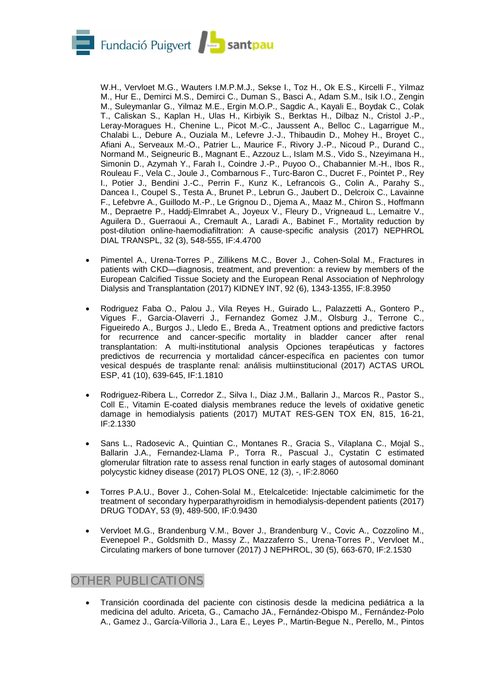

W.H., Vervloet M.G., Wauters I.M.P.M.J., Sekse I., Toz H., Ok E.S., Kircelli F., Yilmaz M., Hur E., Demirci M.S., Demirci C., Duman S., Basci A., Adam S.M., Isik I.O., Zengin M., Suleymanlar G., Yilmaz M.E., Ergin M.O.P., Sagdic A., Kayali E., Boydak C., Colak T., Caliskan S., Kaplan H., Ulas H., Kirbiyik S., Berktas H., Dilbaz N., Cristol J.-P., Leray-Moragues H., Chenine L., Picot M.-C., Jaussent A., Belloc C., Lagarrigue M., Chalabi L., Debure A., Ouziala M., Lefevre J.-J., Thibaudin D., Mohey H., Broyet C., Afiani A., Serveaux M.-O., Patrier L., Maurice F., Rivory J.-P., Nicoud P., Durand C., Normand M., Seigneuric B., Magnant E., Azzouz L., Islam M.S., Vido S., Nzeyimana H., Simonin D., Azymah Y., Farah I., Coindre J.-P., Puyoo O., Chabannier M.-H., Ibos R., Rouleau F., Vela C., Joule J., Combarnous F., Turc-Baron C., Ducret F., Pointet P., Rey I., Potier J., Bendini J.-C., Perrin F., Kunz K., Lefrancois G., Colin A., Parahy S., Dancea I., Coupel S., Testa A., Brunet P., Lebrun G., Jaubert D., Delcroix C., Lavainne F., Lefebvre A., Guillodo M.-P., Le Grignou D., Djema A., Maaz M., Chiron S., Hoffmann M., Depraetre P., Haddj-Elmrabet A., Joyeux V., Fleury D., Vrigneaud L., Lemaitre V., Aguilera D., Guerraoui A., Cremault A., Laradi A., Babinet F., Mortality reduction by post-dilution online-haemodiafiltration: A cause-specific analysis (2017) NEPHROL DIAL TRANSPL, 32 (3), 548-555, IF:4.4700

- Pimentel A., Urena-Torres P., Zillikens M.C., Bover J., Cohen-Solal M., Fractures in patients with CKD—diagnosis, treatment, and prevention: a review by members of the European Calcified Tissue Society and the European Renal Association of Nephrology Dialysis and Transplantation (2017) KIDNEY INT, 92 (6), 1343-1355, IF:8.3950
- Rodriguez Faba O., Palou J., Vila Reyes H., Guirado L., Palazzetti A., Gontero P., Vigues F., Garcia-Olaverri J., Fernandez Gomez J.M., Olsburg J., Terrone C., Figueiredo A., Burgos J., Lledo E., Breda A., Treatment options and predictive factors for recurrence and cancer-specific mortality in bladder cancer after renal transplantation: A multi-institutional analysis Opciones terapéuticas y factores predictivos de recurrencia y mortalidad cáncer-específica en pacientes con tumor vesical después de trasplante renal: análisis multiinstitucional (2017) ACTAS UROL ESP, 41 (10), 639-645, IF:1.1810
- Rodriguez-Ribera L., Corredor Z., Silva I., Diaz J.M., Ballarin J., Marcos R., Pastor S., Coll E., Vitamin E-coated dialysis membranes reduce the levels of oxidative genetic damage in hemodialysis patients (2017) MUTAT RES-GEN TOX EN, 815, 16-21, IF:2.1330
- Sans L., Radosevic A., Quintian C., Montanes R., Gracia S., Vilaplana C., Mojal S., Ballarin J.A., Fernandez-Llama P., Torra R., Pascual J., Cystatin C estimated glomerular filtration rate to assess renal function in early stages of autosomal dominant polycystic kidney disease (2017) PLOS ONE, 12 (3), -, IF:2.8060
- Torres P.A.U., Bover J., Cohen-Solal M., Etelcalcetide: Injectable calcimimetic for the treatment of secondary hyperparathyroidism in hemodialysis-dependent patients (2017) DRUG TODAY, 53 (9), 489-500, IF:0.9430
- Vervloet M.G., Brandenburg V.M., Bover J., Brandenburg V., Covic A., Cozzolino M., Evenepoel P., Goldsmith D., Massy Z., Mazzaferro S., Urena-Torres P., Vervloet M., Circulating markers of bone turnover (2017) J NEPHROL, 30 (5), 663-670, IF:2.1530

## OTHER PUBLICATIONS

• Transición coordinada del paciente con cistinosis desde la medicina pediátrica a la medicina del adulto. Ariceta, G., Camacho JA., Fernández-Obispo M., Fernández-Polo A., Gamez J., García-Villoria J., Lara E., Leyes P., Martin-Begue N., Perello, M., Pintos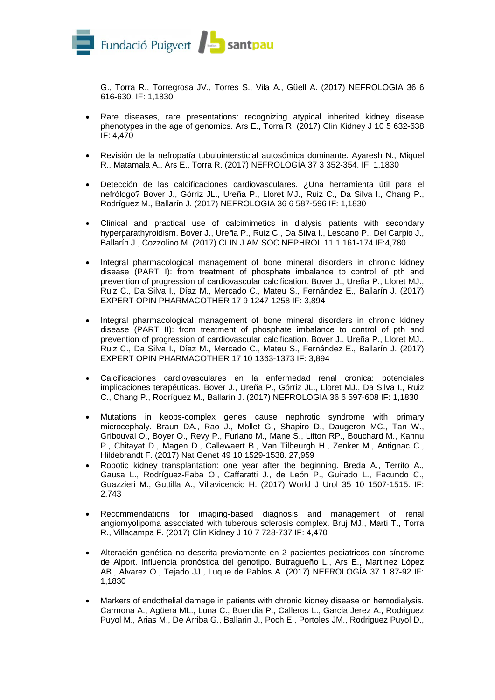

G., Torra R., Torregrosa JV., Torres S., Vila A., Güell A. (2017) NEFROLOGIA 36 6 616-630. IF: 1,1830

- Rare diseases, rare presentations: recognizing atypical inherited kidney disease phenotypes in the age of genomics. Ars E., Torra R. (2017) Clin Kidney J 10 5 632-638 IF: 4,470
- Revisión de la nefropatía tubulointersticial autosómica dominante. Ayaresh N., Miquel R., Matamala A., Ars E., Torra R. (2017) NEFROLOGÍA 37 3 352-354. IF: 1,1830
- Detección de las calcificaciones cardiovasculares. ¿Una herramienta útil para el nefrólogo? Bover J., Górriz JL., Ureña P., Lloret MJ., Ruiz C., Da Silva I., Chang P., Rodríguez M., Ballarín J. (2017) NEFROLOGIA 36 6 587-596 IF: 1,1830
- Clinical and practical use of calcimimetics in dialysis patients with secondary hyperparathyroidism. Bover J., Ureña P., Ruiz C., Da Silva I., Lescano P., Del Carpio J., Ballarín J., Cozzolino M. (2017) CLIN J AM SOC NEPHROL 11 1 161-174 IF:4,780
- Integral pharmacological management of bone mineral disorders in chronic kidney disease (PART I): from treatment of phosphate imbalance to control of pth and prevention of progression of cardiovascular calcification. Bover J., Ureña P., Lloret MJ., Ruiz C., Da Silva I., Díaz M., Mercado C., Mateu S., Fernández E., Ballarín J. (2017) EXPERT OPIN PHARMACOTHER 17 9 1247-1258 IF: 3,894
- Integral pharmacological management of bone mineral disorders in chronic kidney disease (PART II): from treatment of phosphate imbalance to control of pth and prevention of progression of cardiovascular calcification. Bover J., Ureña P., Lloret MJ., Ruiz C., Da Silva I., Díaz M., Mercado C., Mateu S., Fernández E., Ballarín J. (2017) EXPERT OPIN PHARMACOTHER 17 10 1363-1373 IF: 3,894
- Calcificaciones cardiovasculares en la enfermedad renal cronica: potenciales implicaciones terapéuticas. Bover J., Ureña P., Górriz JL., Lloret MJ., Da Silva I., Ruiz C., Chang P., Rodríguez M., Ballarín J. (2017) NEFROLOGIA 36 6 597-608 IF: 1,1830
- Mutations in keops-complex genes cause nephrotic syndrome with primary microcephaly. Braun DA., Rao J., Mollet G., Shapiro D., Daugeron MC., Tan W., Gribouval O., Boyer O., Revy P., Furlano M., Mane S., Lifton RP., Bouchard M., Kannu P., Chitayat D., Magen D., Callewaert B., Van Tilbeurgh H., Zenker M., Antignac C., Hildebrandt F. (2017) Nat Genet 49 10 1529-1538. 27,959
- Robotic kidney transplantation: one year after the beginning. Breda A., Territo A., Gausa L., Rodríguez-Faba O., Caffaratti J., de León P., Guirado L., Facundo C., Guazzieri M., Guttilla A., Villavicencio H. (2017) World J Urol 35 10 1507-1515. IF: 2,743
- Recommendations for imaging-based diagnosis and management of renal angiomyolipoma associated with tuberous sclerosis complex. Bruj MJ., Marti T., Torra R., Villacampa F. (2017) Clin Kidney J 10 7 728-737 IF: 4,470
- Alteración genética no descrita previamente en 2 pacientes pediatricos con síndrome de Alport. Influencia pronóstica del genotipo. Butragueño L., Ars E., Martínez López AB., Alvarez O., Tejado JJ., Luque de Pablos A. (2017) NEFROLOGÍA 37 1 87-92 IF: 1,1830
- Markers of endothelial damage in patients with chronic kidney disease on hemodialysis. Carmona A., Agüera ML., Luna C., Buendia P., Calleros L., Garcia Jerez A., Rodriguez Puyol M., Arias M., De Arriba G., Ballarin J., Poch E., Portoles JM., Rodriguez Puyol D.,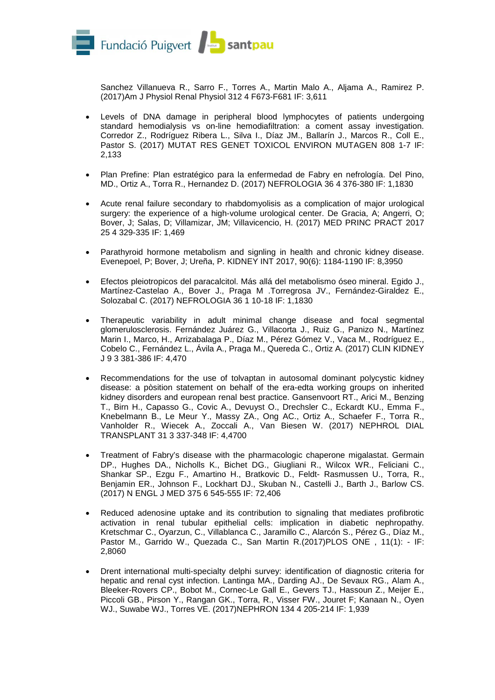

Sanchez Villanueva R., Sarro F., Torres A., Martin Malo A., Aljama A., Ramirez P. (2017)Am J Physiol Renal Physiol 312 4 F673-F681 IF: 3,611

- Levels of DNA damage in peripheral blood lymphocytes of patients undergoing standard hemodialysis vs on-line hemodiafiltration: a coment assay investigation. Corredor Z., Rodríguez Ribera L., Silva I., Díaz JM., Ballarín J., Marcos R., Coll E., Pastor S. (2017) MUTAT RES GENET TOXICOL ENVIRON MUTAGEN 808 1-7 IF: 2,133
- Plan Prefine: Plan estratégico para la enfermedad de Fabry en nefrología. Del Pino, MD., Ortiz A., Torra R., Hernandez D. (2017) NEFROLOGIA 36 4 376-380 IF: 1,1830
- Acute renal failure secondary to rhabdomyolisis as a complication of major urological surgery: the experience of a high-volume urological center. De Gracia, A; Angerri, O; Bover, J; Salas, D; Villamizar, JM; Villavicencio, H. (2017) MED PRINC PRACT 2017 25 4 329-335 IF: 1,469
- Parathyroid hormone metabolism and signling in health and chronic kidney disease. Evenepoel, P; Bover, J; Ureña, P. KIDNEY INT 2017, 90(6): 1184-1190 IF: 8,3950
- Efectos pleiotropicos del paracalcitol. Más allá del metabolismo óseo mineral. Egido J., Martínez-Castelao A., Bover J., Praga M .Torregrosa JV., Fernández-Giraldez E., Solozabal C. (2017) NEFROLOGIA 36 1 10-18 IF: 1,1830
- Therapeutic variability in adult minimal change disease and focal segmental glomerulosclerosis. Fernández Juárez G., Villacorta J., Ruiz G., Panizo N., Martínez Marin I., Marco, H., Arrizabalaga P., Díaz M., Pérez Gómez V., Vaca M., Rodríguez E., Cobelo C., Fernández L., Ávila A., Praga M., Quereda C., Ortiz A. (2017) CLIN KIDNEY J 9 3 381-386 IF: 4,470
- Recommendations for the use of tolvaptan in autosomal dominant polycystic kidney disease: a pòsition statement on behalf of the era-edta working groups on inherited kidney disorders and european renal best practice. Gansenvoort RT., Arici M., Benzing T., Birn H., Capasso G., Covic A., Devuyst O., Drechsler C., Eckardt KU., Emma F., Knebelmann B., Le Meur Y., Massy ZA., Ong AC., Ortiz A., Schaefer F., Torra R., Vanholder R., Wiecek A., Zoccali A., Van Biesen W. (2017) NEPHROL DIAL TRANSPLANT 31 3 337-348 IF: 4,4700
- Treatment of Fabry's disease with the pharmacologic chaperone migalastat. Germain DP., Hughes DA., Nicholls K., Bichet DG., Giugliani R., Wilcox WR., Feliciani C., Shankar SP., Ezgu F., Amartino H., Bratkovic D., Feldt- Rasmussen U., Torra, R., Benjamin ER., Johnson F., Lockhart DJ., Skuban N., Castelli J., Barth J., Barlow CS. (2017) N ENGL J MED 375 6 545-555 IF: 72,406
- Reduced adenosine uptake and its contribution to signaling that mediates profibrotic activation in renal tubular epithelial cells: implication in diabetic nephropathy. Kretschmar C., Oyarzun, C., Villablanca C., Jaramillo C., Alarcón S., Pérez G., Díaz M., Pastor M., Garrido W., Quezada C., San Martin R.(2017)PLOS ONE , 11(1): - IF: 2,8060
- Drent international multi-specialty delphi survey: identification of diagnostic criteria for hepatic and renal cyst infection. Lantinga MA., Darding AJ., De Sevaux RG., Alam A., Bleeker-Rovers CP., Bobot M., Cornec-Le Gall E., Gevers TJ., Hassoun Z., Meijer E., Piccoli GB., Pirson Y., Rangan GK., Torra, R., Visser FW., Jouret F; Kanaan N., Oyen WJ., Suwabe WJ., Torres VE. (2017)NEPHRON 134 4 205-214 IF: 1,939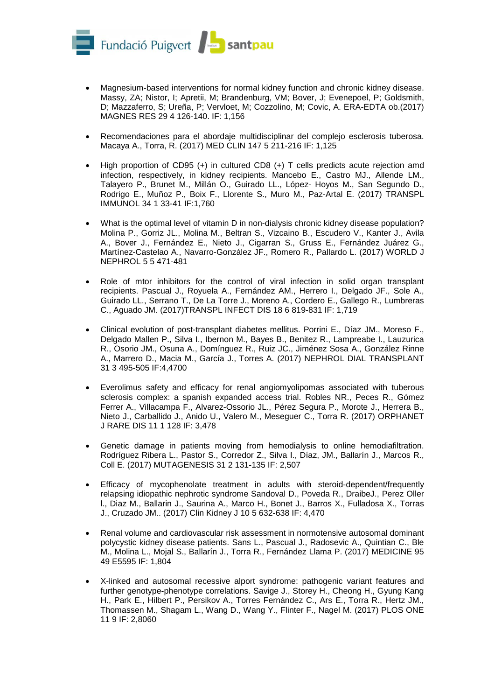

- Magnesium-based interventions for normal kidney function and chronic kidney disease. Massy, ZA; Nistor, I; Apretii, M; Brandenburg, VM; Bover, J; Evenepoel, P; Goldsmith, D; Mazzaferro, S; Ureña, P; Vervloet, M; Cozzolino, M; Covic, A. ERA-EDTA ob.(2017) MAGNES RES 29 4 126-140. IF: 1,156
- Recomendaciones para el abordaje multidisciplinar del complejo esclerosis tuberosa. Macaya A., Torra, R. (2017) MED CLIN 147 5 211-216 IF: 1,125
- High proportion of CD95  $(+)$  in cultured CD8  $(+)$  T cells predicts acute rejection amd infection, respectively, in kidney recipients. Mancebo E., Castro MJ., Allende LM., Talayero P., Brunet M., Millán O., Guirado LL., López- Hoyos M., San Segundo D., Rodrigo E., Muñoz P., Boix F., Llorente S., Muro M., Paz-Artal E. (2017) TRANSPL IMMUNOL 34 1 33-41 IF:1,760
- What is the optimal level of vitamin D in non-dialysis chronic kidney disease population? Molina P., Gorriz JL., Molina M., Beltran S., Vizcaino B., Escudero V., Kanter J., Avila A., Bover J., Fernández E., Nieto J., Cigarran S., Gruss E., Fernández Juárez G., Martínez-Castelao A., Navarro-González JF., Romero R., Pallardo L. (2017) WORLD J NEPHROL 5 5 471-481
- Role of mtor inhibitors for the control of viral infection in solid organ transplant recipients. Pascual J., Royuela A., Fernández AM., Herrero I., Delgado JF., Sole A., Guirado LL., Serrano T., De La Torre J., Moreno A., Cordero E., Gallego R., Lumbreras C., Aguado JM. (2017)TRANSPL INFECT DIS 18 6 819-831 IF: 1,719
- Clinical evolution of post-transplant diabetes mellitus. Porrini E., Díaz JM., Moreso F., Delgado Mallen P., Silva I., Ibernon M., Bayes B., Benitez R., Lampreabe I., Lauzurica R., Osorio JM., Osuna A., Domínguez R., Ruiz JC., Jiménez Sosa A., González Rinne A., Marrero D., Macia M., García J., Torres A. (2017) NEPHROL DIAL TRANSPLANT 31 3 495-505 IF:4,4700
- Everolimus safety and efficacy for renal angiomyolipomas associated with tuberous sclerosis complex: a spanish expanded access trial. Robles NR., Peces R., Gómez Ferrer A., Villacampa F., Alvarez-Ossorio JL., Pérez Segura P., Morote J., Herrera B., Nieto J., Carballido J., Anido U., Valero M., Meseguer C., Torra R. (2017) ORPHANET J RARE DIS 11 1 128 IF: 3,478
- Genetic damage in patients moving from hemodialysis to online hemodiafiltration. Rodríguez Ribera L., Pastor S., Corredor Z., Silva I., Díaz, JM., Ballarín J., Marcos R., Coll E. (2017) MUTAGENESIS 31 2 131-135 IF: 2,507
- Efficacy of mycophenolate treatment in adults with steroid-dependent/frequently relapsing idiopathic nephrotic syndrome Sandoval D., Poveda R., DraibeJ., Perez Oller l., Diaz M., Ballarin J., Saurina A., Marco H., Bonet J., Barros X., Fulladosa X., Torras J., Cruzado JM.. (2017) Clin Kidney J 10 5 632-638 IF: 4,470
- Renal volume and cardiovascular risk assessment in normotensive autosomal dominant polycystic kidney disease patients. Sans L., Pascual J., Radosevic A., Quintian C., Ble M., Molina L., Mojal S., Ballarín J., Torra R., Fernández Llama P. (2017) MEDICINE 95 49 E5595 IF: 1,804
- X-linked and autosomal recessive alport syndrome: pathogenic variant features and further genotype-phenotype correlations. Savige J., Storey H., Cheong H., Gyung Kang H., Park E., Hilbert P., Persikov A., Torres Fernández C., Ars E., Torra R., Hertz JM., Thomassen M., Shagam L., Wang D., Wang Y., Flinter F., Nagel M. (2017) PLOS ONE 11 9 IF: 2,8060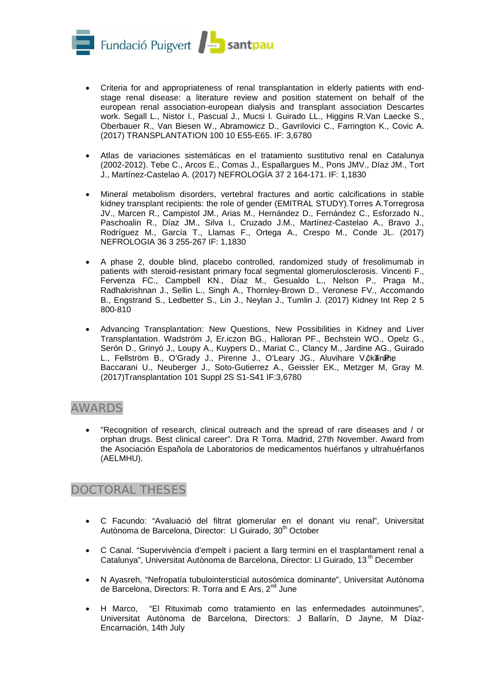

- Criteria for and appropriateness of renal transplantation in elderly patients with endstage renal disease: a literature review and position statement on behalf of the european renal association-european dialysis and transplant association Descartes work. Segall L., Nistor I., Pascual J., Mucsi I. Guirado LL., Higgins R.Van Laecke S., Oberbauer R., Van Biesen W., Abramowicz D., Gavrilovici C., Farrington K., Covic A. (2017) TRANSPLANTATION 100 10 E55-E65. IF: 3,6780
- Atlas de variaciones sistemáticas en el tratamiento sustitutivo renal en Catalunya (2002-2012). Tebe C., Arcos E., Comas J., Espallargues M., Pons JMV., Díaz JM., Tort J., Martínez-Castelao A. (2017) NEFROLOGÍA 37 2 164-171. IF: 1,1830
- Mineral metabolism disorders, vertebral fractures and aortic calcifications in stable kidney transplant recipients: the role of gender (EMITRAL STUDY).Torres A.Torregrosa JV., Marcen R., Campistol JM., Arias M., Hernández D., Fernández C., Esforzado N., Paschoalin R., Díaz JM., Silva I., Cruzado J.M., Martínez-Castelao A., Bravo J., Rodríguez M., García T., Llamas F., Ortega A., Crespo M., Conde JL. (2017) NEFROLOGIA 36 3 255-267 IF: 1,1830
- A phase 2, double blind, placebo controlled, randomized study of fresolimumab in patients with steroid-resistant primary focal segmental glomerulosclerosis. Vincenti F., Fervenza FC., Campbell KN., Díaz M., Gesualdo L., Nelson P., Praga M., Radhakrishnan J., Sellin L., Singh A., Thornley-Brown D., Veronese FV., Accomando B., Engstrand S., Ledbetter S., Lin J., Neylan J., Tumlin J. (2017) Kidney Int Rep 2 5 800-810
- Advancing Transplantation: New Questions, New Possibilities in Kidney and Liver Transplantation. Wadström J, Er.iczon BG., Halloran PF., Bechstein WO., Opelz G., Serón D., Grinyó J., Loupy A., Kuypers D., Mariat C., Clancy M., Jardine AG., Guirado L., Fellström B., O'Grady J., Pirenne J., O'Leary JG., Aluvihare V. $\hat{\mathcal{G}}$ k Trune Baccarani U., Neuberger J., Soto-Gutierrez A., Geissler EK., Metzger M, Gray M. (2017)Transplantation 101 Suppl 2S S1-S41 IF:3,6780

## AWARDS

• "Recognition of research, clinical outreach and the spread of rare diseases and / or orphan drugs. Best clinical career". Dra R Torra. Madrid, 27th November. Award from the Asociación Española de Laboratorios de medicamentos huérfanos y ultrahuérfanos (AELMHU).

## DOCTORAL THESES

- C Facundo: "Avaluació del filtrat glomerular en el donant viu renal", Universitat Autònoma de Barcelona, Director: LI Guirado, 30<sup>th</sup> October
- C Canal. "Supervivència d'empelt i pacient a llarg termini en el trasplantament renal a Catalunya", Universitat Autònoma de Barcelona, Director: LI Guirado, 13<sup>th</sup> December
- N Ayasreh, "Nefropatía tubulointersticial autosómica dominante", Universitat Autònoma de Barcelona, Directors: R. Torra and E Ars, 2<sup>nd</sup> June
- H Marco, "El Rituximab como tratamiento en las enfermedades autoinmunes", Universitat Autònoma de Barcelona, Directors: J Ballarín, D Jayne, M Díaz-Encarnación, 14th July